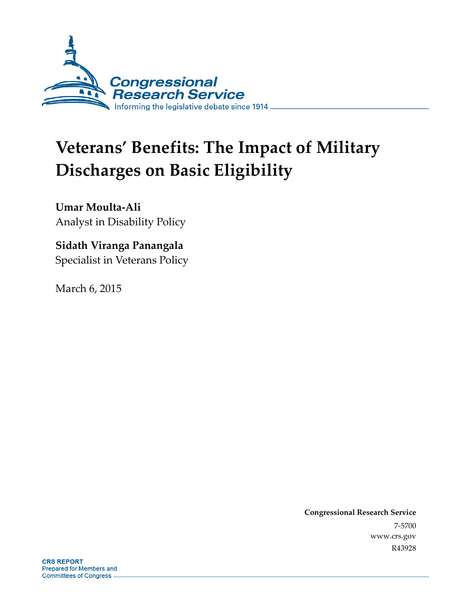

# **Veterans' Benefits: The Impact of Military Discharges on Basic Eligibility**

**Umar Moulta-Ali**  Analyst in Disability Policy

### **Sidath Viranga Panangala**

Specialist in Veterans Policy

March 6, 2015

**Congressional Research Service**  7-5700 www.crs.gov R43928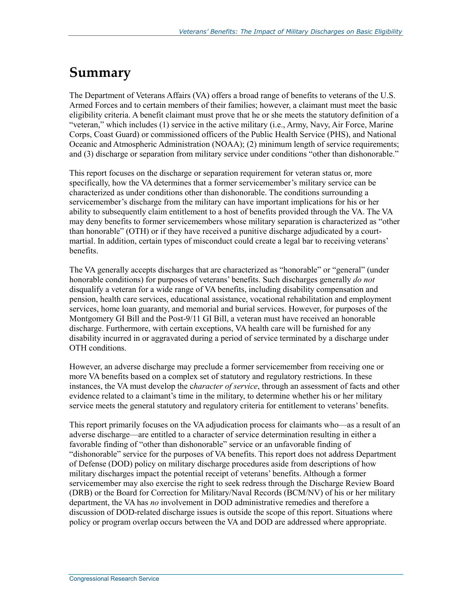### **Summary**

The Department of Veterans Affairs (VA) offers a broad range of benefits to veterans of the U.S. Armed Forces and to certain members of their families; however, a claimant must meet the basic eligibility criteria. A benefit claimant must prove that he or she meets the statutory definition of a "veteran," which includes (1) service in the active military (i.e., Army, Navy, Air Force, Marine Corps, Coast Guard) or commissioned officers of the Public Health Service (PHS), and National Oceanic and Atmospheric Administration (NOAA); (2) minimum length of service requirements; and (3) discharge or separation from military service under conditions "other than dishonorable."

This report focuses on the discharge or separation requirement for veteran status or, more specifically, how the VA determines that a former servicemember's military service can be characterized as under conditions other than dishonorable. The conditions surrounding a servicemember's discharge from the military can have important implications for his or her ability to subsequently claim entitlement to a host of benefits provided through the VA. The VA may deny benefits to former servicemembers whose military separation is characterized as "other than honorable" (OTH) or if they have received a punitive discharge adjudicated by a courtmartial. In addition, certain types of misconduct could create a legal bar to receiving veterans' benefits.

The VA generally accepts discharges that are characterized as "honorable" or "general" (under honorable conditions) for purposes of veterans' benefits. Such discharges generally *do not* disqualify a veteran for a wide range of VA benefits, including disability compensation and pension, health care services, educational assistance, vocational rehabilitation and employment services, home loan guaranty, and memorial and burial services. However, for purposes of the Montgomery GI Bill and the Post-9/11 GI Bill, a veteran must have received an honorable discharge. Furthermore, with certain exceptions, VA health care will be furnished for any disability incurred in or aggravated during a period of service terminated by a discharge under OTH conditions.

However, an adverse discharge may preclude a former servicemember from receiving one or more VA benefits based on a complex set of statutory and regulatory restrictions. In these instances, the VA must develop the c*haracter of service*, through an assessment of facts and other evidence related to a claimant's time in the military, to determine whether his or her military service meets the general statutory and regulatory criteria for entitlement to veterans' benefits.

This report primarily focuses on the VA adjudication process for claimants who—as a result of an adverse discharge—are entitled to a character of service determination resulting in either a favorable finding of "other than dishonorable" service or an unfavorable finding of "dishonorable" service for the purposes of VA benefits. This report does not address Department of Defense (DOD) policy on military discharge procedures aside from descriptions of how military discharges impact the potential receipt of veterans' benefits. Although a former servicemember may also exercise the right to seek redress through the Discharge Review Board (DRB) or the Board for Correction for Military/Naval Records (BCM/NV) of his or her military department, the VA has *no* involvement in DOD administrative remedies and therefore a discussion of DOD-related discharge issues is outside the scope of this report. Situations where policy or program overlap occurs between the VA and DOD are addressed where appropriate.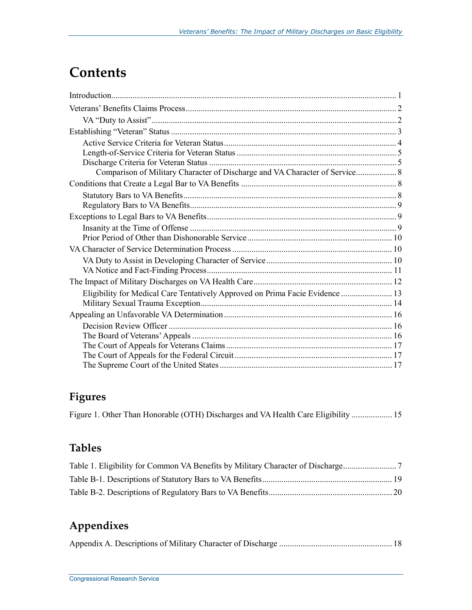## **Contents**

| Comparison of Military Character of Discharge and VA Character of Service 8   |  |
|-------------------------------------------------------------------------------|--|
|                                                                               |  |
|                                                                               |  |
|                                                                               |  |
|                                                                               |  |
|                                                                               |  |
|                                                                               |  |
|                                                                               |  |
|                                                                               |  |
|                                                                               |  |
|                                                                               |  |
| Eligibility for Medical Care Tentatively Approved on Prima Facie Evidence  13 |  |
|                                                                               |  |
|                                                                               |  |
|                                                                               |  |
|                                                                               |  |
|                                                                               |  |
|                                                                               |  |
|                                                                               |  |

### **Figures**

|  | Figure 1. Other Than Honorable (OTH) Discharges and VA Health Care Eligibility  15 |  |
|--|------------------------------------------------------------------------------------|--|
|--|------------------------------------------------------------------------------------|--|

### **Tables**

### **Appendixes**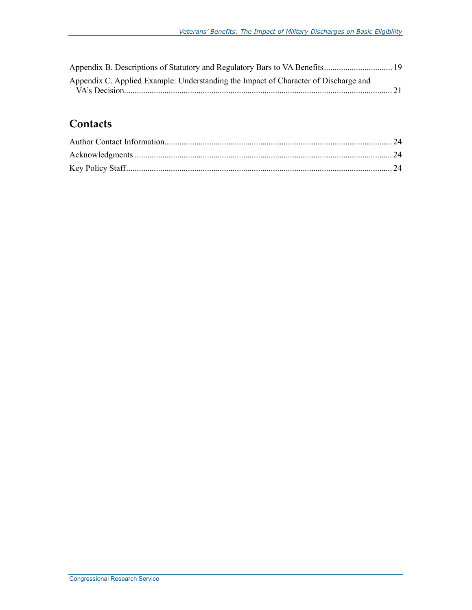| Appendix C. Applied Example: Understanding the Impact of Character of Discharge and |  |
|-------------------------------------------------------------------------------------|--|
|                                                                                     |  |

#### **Contacts**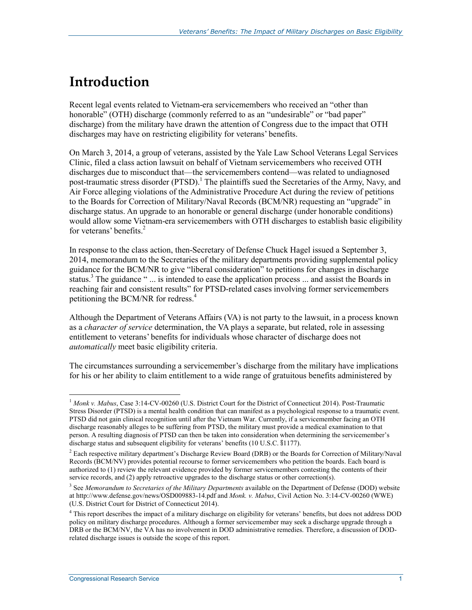## **Introduction**

Recent legal events related to Vietnam-era servicemembers who received an "other than honorable" (OTH) discharge (commonly referred to as an "undesirable" or "bad paper" discharge) from the military have drawn the attention of Congress due to the impact that OTH discharges may have on restricting eligibility for veterans' benefits.

On March 3, 2014, a group of veterans, assisted by the Yale Law School Veterans Legal Services Clinic, filed a class action lawsuit on behalf of Vietnam servicemembers who received OTH discharges due to misconduct that—the servicemembers contend—was related to undiagnosed post-traumatic stress disorder (PTSD).<sup>1</sup> The plaintiffs sued the Secretaries of the Army, Navy, and Air Force alleging violations of the Administrative Procedure Act during the review of petitions to the Boards for Correction of Military/Naval Records (BCM/NR) requesting an "upgrade" in discharge status. An upgrade to an honorable or general discharge (under honorable conditions) would allow some Vietnam-era servicemembers with OTH discharges to establish basic eligibility for veterans' benefits.2

In response to the class action, then-Secretary of Defense Chuck Hagel issued a September 3, 2014, memorandum to the Secretaries of the military departments providing supplemental policy guidance for the BCM/NR to give "liberal consideration" to petitions for changes in discharge status.<sup>3</sup> The guidance " ... is intended to ease the application process ... and assist the Boards in reaching fair and consistent results" for PTSD-related cases involving former servicemembers petitioning the BCM/NR for redress. $4$ 

Although the Department of Veterans Affairs (VA) is not party to the lawsuit, in a process known as a *character of service* determination, the VA plays a separate, but related, role in assessing entitlement to veterans' benefits for individuals whose character of discharge does not *automatically* meet basic eligibility criteria.

The circumstances surrounding a servicemember's discharge from the military have implications for his or her ability to claim entitlement to a wide range of gratuitous benefits administered by

<sup>&</sup>lt;sup>1</sup> Monk v. Mabus, Case 3:14-CV-00260 (U.S. District Court for the District of Connecticut 2014). Post-Traumatic Stress Disorder (PTSD) is a mental health condition that can manifest as a psychological response to a traumatic event. PTSD did not gain clinical recognition until after the Vietnam War. Currently, if a servicemember facing an OTH discharge reasonably alleges to be suffering from PTSD, the military must provide a medical examination to that person. A resulting diagnosis of PTSD can then be taken into consideration when determining the servicemember's discharge status and subsequent eligibility for veterans' benefits (10 U.S.C. §1177).

<sup>&</sup>lt;sup>2</sup> Each respective military department's Discharge Review Board (DRB) or the Boards for Correction of Military/Naval Records (BCM/NV) provides potential recourse to former servicemembers who petition the boards. Each board is authorized to (1) review the relevant evidence provided by former servicemembers contesting the contents of their service records, and (2) apply retroactive upgrades to the discharge status or other correction(s).

<sup>&</sup>lt;sup>3</sup> See *Memorandum to Secretaries of the Military Departments* available on the Department of Defense (DOD) website at http://www.defense.gov/news/OSD009883-14.pdf and *Monk. v. Mabus*, Civil Action No. 3:14-CV-00260 (WWE) (U.S. District Court for District of Connecticut 2014).

<sup>&</sup>lt;sup>4</sup> This report describes the impact of a military discharge on eligibility for veterans' benefits, but does not address DOD policy on military discharge procedures. Although a former servicemember may seek a discharge upgrade through a DRB or the BCM/NV, the VA has no involvement in DOD administrative remedies. Therefore, a discussion of DODrelated discharge issues is outside the scope of this report.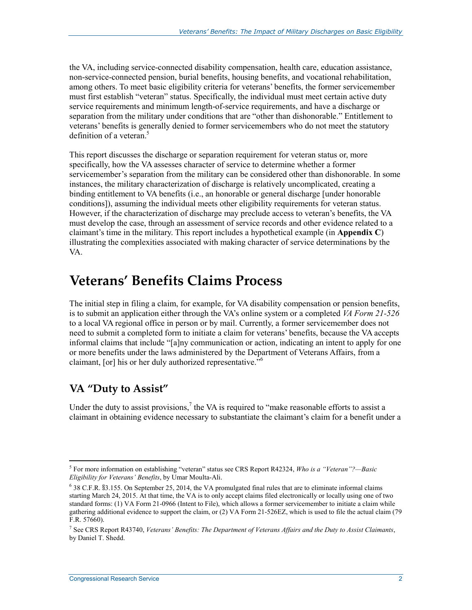the VA, including service-connected disability compensation, health care, education assistance, non-service-connected pension, burial benefits, housing benefits, and vocational rehabilitation, among others. To meet basic eligibility criteria for veterans' benefits, the former servicemember must first establish "veteran" status. Specifically, the individual must meet certain active duty service requirements and minimum length-of-service requirements, and have a discharge or separation from the military under conditions that are "other than dishonorable." Entitlement to veterans' benefits is generally denied to former servicemembers who do not meet the statutory definition of a veteran. $5$ 

This report discusses the discharge or separation requirement for veteran status or, more specifically, how the VA assesses character of service to determine whether a former servicemember's separation from the military can be considered other than dishonorable. In some instances, the military characterization of discharge is relatively uncomplicated, creating a binding entitlement to VA benefits (i.e., an honorable or general discharge [under honorable conditions]), assuming the individual meets other eligibility requirements for veteran status. However, if the characterization of discharge may preclude access to veteran's benefits, the VA must develop the case, through an assessment of service records and other evidence related to a claimant's time in the military. This report includes a hypothetical example (in **Appendix C**) illustrating the complexities associated with making character of service determinations by the VA.

### **Veterans' Benefits Claims Process**

The initial step in filing a claim, for example, for VA disability compensation or pension benefits, is to submit an application either through the VA's online system or a completed *VA Form 21-526* to a local VA regional office in person or by mail. Currently, a former servicemember does not need to submit a completed form to initiate a claim for veterans' benefits, because the VA accepts informal claims that include "[a]ny communication or action, indicating an intent to apply for one or more benefits under the laws administered by the Department of Veterans Affairs, from a claimant, [or] his or her duly authorized representative.<sup>56</sup>

### **VA "Duty to Assist"**

<u>.</u>

Under the duty to assist provisions,<sup>7</sup> the VA is required to "make reasonable efforts to assist a claimant in obtaining evidence necessary to substantiate the claimant's claim for a benefit under a

<sup>5</sup> For more information on establishing "veteran" status see CRS Report R42324, *Who is a "Veteran"?—Basic Eligibility for Veterans' Benefits*, by Umar Moulta-Ali.

<sup>6</sup> 38 C.F.R. §3.155. On September 25, 2014, the VA promulgated final rules that are to eliminate informal claims starting March 24, 2015. At that time, the VA is to only accept claims filed electronically or locally using one of two standard forms: (1) VA Form 21-0966 (Intent to File), which allows a former servicemember to initiate a claim while gathering additional evidence to support the claim, or (2) VA Form 21-526EZ, which is used to file the actual claim (79 F.R. 57660).

<sup>7</sup> See CRS Report R43740, *Veterans' Benefits: The Department of Veterans Affairs and the Duty to Assist Claimants*, by Daniel T. Shedd.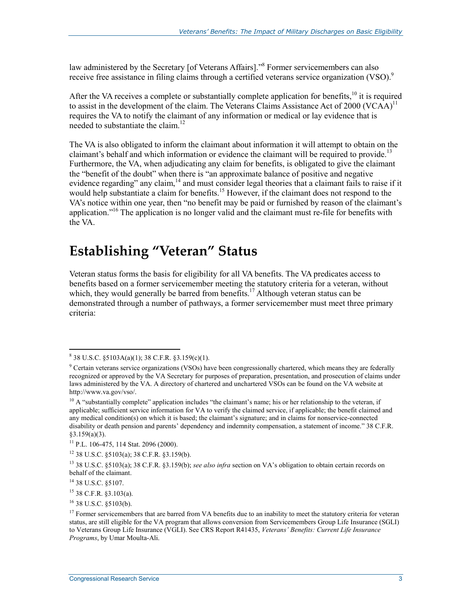law administered by the Secretary [of Veterans Affairs]."<sup>8</sup> Former servicemembers can also receive free assistance in filing claims through a certified veterans service organization (VSO).<sup>9</sup>

After the VA receives a complete or substantially complete application for benefits, $10$  it is required to assist in the development of the claim. The Veterans Claims Assistance Act of 2000 (VCAA)<sup>11</sup> requires the VA to notify the claimant of any information or medical or lay evidence that is needed to substantiate the claim.<sup>12</sup>

The VA is also obligated to inform the claimant about information it will attempt to obtain on the claimant's behalf and which information or evidence the claimant will be required to provide.<sup>13</sup> Furthermore, the VA, when adjudicating any claim for benefits, is obligated to give the claimant the "benefit of the doubt" when there is "an approximate balance of positive and negative evidence regarding" any claim,<sup>14</sup> and must consider legal theories that a claimant fails to raise if it would help substantiate a claim for benefits.<sup>15</sup> However, if the claimant does not respond to the VA's notice within one year, then "no benefit may be paid or furnished by reason of the claimant's application."<sup>16</sup> The application is no longer valid and the claimant must re-file for benefits with the VA.

### **Establishing "Veteran" Status**

Veteran status forms the basis for eligibility for all VA benefits. The VA predicates access to benefits based on a former servicemember meeting the statutory criteria for a veteran, without which, they would generally be barred from benefits.<sup>17</sup> Although veteran status can be demonstrated through a number of pathways, a former servicemember must meet three primary criteria:

 $\frac{1}{8}$  38 U.S.C. §5103A(a)(1); 38 C.F.R. §3.159(c)(1).

<sup>&</sup>lt;sup>9</sup> Certain veterans service organizations (VSOs) have been congressionally chartered, which means they are federally recognized or approved by the VA Secretary for purposes of preparation, presentation, and prosecution of claims under laws administered by the VA. A directory of chartered and unchartered VSOs can be found on the VA website at http://www.va.gov/vso/.

 $10$  A "substantially complete" application includes "the claimant's name; his or her relationship to the veteran, if applicable; sufficient service information for VA to verify the claimed service, if applicable; the benefit claimed and any medical condition(s) on which it is based; the claimant's signature; and in claims for nonservice-connected disability or death pension and parents' dependency and indemnity compensation, a statement of income." 38 C.F.R.  $§3.159(a)(3)$ .

 $11$  P.L. 106-475, 114 Stat. 2096 (2000).

<sup>12 38</sup> U.S.C. §5103(a); 38 C.F.R. §3.159(b).

<sup>13 38</sup> U.S.C. §5103(a); 38 C.F.R. §3.159(b); *see also infra* section on VA's obligation to obtain certain records on behalf of the claimant.

<sup>14 38</sup> U.S.C. §5107.

<sup>15 38</sup> C.F.R. §3.103(a).

<sup>16 38</sup> U.S.C. §5103(b).

 $17$  Former servicemembers that are barred from VA benefits due to an inability to meet the statutory criteria for veteran status, are still eligible for the VA program that allows conversion from Servicemembers Group Life Insurance (SGLI) to Veterans Group Life Insurance (VGLI). See CRS Report R41435, *Veterans' Benefits: Current Life Insurance Programs*, by Umar Moulta-Ali.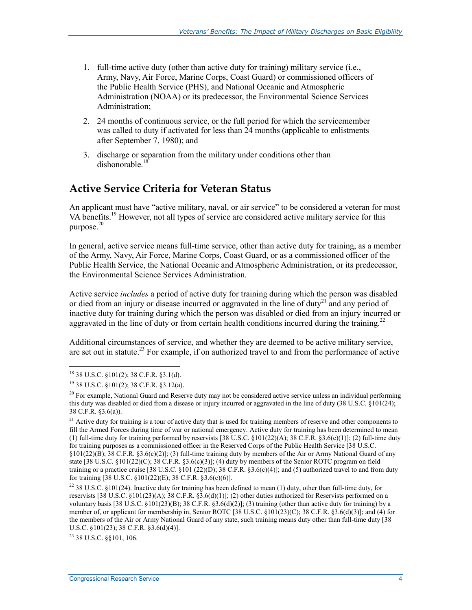- 1. full-time active duty (other than active duty for training) military service (i.e., Army, Navy, Air Force, Marine Corps, Coast Guard) or commissioned officers of the Public Health Service (PHS), and National Oceanic and Atmospheric Administration (NOAA) or its predecessor, the Environmental Science Services Administration;
- 2. 24 months of continuous service, or the full period for which the servicemember was called to duty if activated for less than 24 months (applicable to enlistments after September 7, 1980); and
- 3. discharge or separation from the military under conditions other than dishonorable.<sup>18</sup>

#### **Active Service Criteria for Veteran Status**

An applicant must have "active military, naval, or air service" to be considered a veteran for most VA benefits.<sup>19</sup> However, not all types of service are considered active military service for this purpose. $20$ 

In general, active service means full-time service, other than active duty for training, as a member of the Army, Navy, Air Force, Marine Corps, Coast Guard, or as a commissioned officer of the Public Health Service, the National Oceanic and Atmospheric Administration, or its predecessor, the Environmental Science Services Administration.

Active service *includes* a period of active duty for training during which the person was disabled or died from an injury or disease incurred or aggravated in the line of duty<sup>21</sup> and any period of inactive duty for training during which the person was disabled or died from an injury incurred or aggravated in the line of duty or from certain health conditions incurred during the training.<sup>22</sup>

Additional circumstances of service, and whether they are deemed to be active military service, are set out in statute.<sup>23</sup> For example, if on authorized travel to and from the performance of active

1

<sup>21</sup> Active duty for training is a tour of active duty that is used for training members of reserve and other components to fill the Armed Forces during time of war or national emergency. Active duty for training has been determined to mean (1) full-time duty for training performed by reservists [38 U.S.C.  $\S 101(22)(A)$ ; 38 C.F.R.  $\S 3.6(c)(1)$ ]; (2) full-time duty for training purposes as a commissioned officer in the Reserved Corps of the Public Health Service [38 U.S.C. §101(22)(B); 38 C.F.R. §3.6(c)(2)]; (3) full-time training duty by members of the Air or Army National Guard of any state [38 U.S.C. §101(22)(C); 38 C.F.R. §3.6(c)(3)]; (4) duty by members of the Senior ROTC program on field training or a practice cruise  $[38 \text{ U.S.C. } \S101 (22)(D); 38 \text{ C.F.R. } \S3.6(c)(4)]$ ; and (5) authorized travel to and from duty for training [38 U.S.C. §101(22)(E); 38 C.F.R. §3.6(c)(6)].

23 38 U.S.C. §§101, 106.

<sup>18 38</sup> U.S.C. §101(2); 38 C.F.R. §3.1(d).

<sup>19 38</sup> U.S.C. §101(2); 38 C.F.R. §3.12(a).

 $20$  For example, National Guard and Reserve duty may not be considered active service unless an individual performing this duty was disabled or died from a disease or injury incurred or aggravated in the line of duty (38 U.S.C. §101(24); 38 C.F.R. §3.6(a)).

<sup>&</sup>lt;sup>22</sup> 38 U.S.C. §101(24). Inactive duty for training has been defined to mean (1) duty, other than full-time duty, for reservists [38 U.S.C. §101(23)(A); 38 C.F.R. §3.6(d)(1)]; (2) other duties authorized for Reservists performed on a voluntary basis [38 U.S.C. §101(23)(B); 38 C.F.R. §3.6(d)(2)]; (3) training (other than active duty for training) by a member of, or applicant for membership in, Senior ROTC [38 U.S.C. §101(23)(C); 38 C.F.R. §3.6(d)(3)]; and (4) for the members of the Air or Army National Guard of any state, such training means duty other than full-time duty [38 U.S.C. §101(23); 38 C.F.R. §3.6(d)(4)].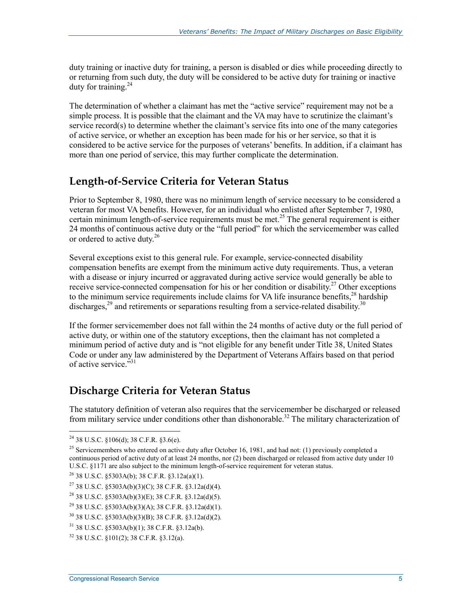duty training or inactive duty for training, a person is disabled or dies while proceeding directly to or returning from such duty, the duty will be considered to be active duty for training or inactive duty for training. $^{24}$ 

The determination of whether a claimant has met the "active service" requirement may not be a simple process. It is possible that the claimant and the VA may have to scrutinize the claimant's service record(s) to determine whether the claimant's service fits into one of the many categories of active service, or whether an exception has been made for his or her service, so that it is considered to be active service for the purposes of veterans' benefits. In addition, if a claimant has more than one period of service, this may further complicate the determination.

#### **Length-of-Service Criteria for Veteran Status**

Prior to September 8, 1980, there was no minimum length of service necessary to be considered a veteran for most VA benefits. However, for an individual who enlisted after September 7, 1980, certain minimum length-of-service requirements must be met.<sup>25</sup> The general requirement is either 24 months of continuous active duty or the "full period" for which the servicemember was called or ordered to active duty.26

Several exceptions exist to this general rule. For example, service-connected disability compensation benefits are exempt from the minimum active duty requirements. Thus, a veteran with a disease or injury incurred or aggravated during active service would generally be able to receive service-connected compensation for his or her condition or disability.<sup>27</sup> Other exceptions to the minimum service requirements include claims for VA life insurance benefits,<sup>28</sup> hardship discharges,  $^{29}$  and retirements or separations resulting from a service-related disability.<sup>30</sup>

If the former servicemember does not fall within the 24 months of active duty or the full period of active duty, or within one of the statutory exceptions, then the claimant has not completed a minimum period of active duty and is "not eligible for any benefit under Title 38, United States Code or under any law administered by the Department of Veterans Affairs based on that period of active service.<sup>531</sup>

#### **Discharge Criteria for Veteran Status**

The statutory definition of veteran also requires that the servicemember be discharged or released from military service under conditions other than dishonorable.<sup>32</sup> The military characterization of

<u>.</u>

 $^{24}$  38 U.S.C. §106(d); 38 C.F.R. §3.6(e).

<sup>&</sup>lt;sup>25</sup> Servicemembers who entered on active duty after October 16, 1981, and had not: (1) previously completed a continuous period of active duty of at least 24 months, nor (2) been discharged or released from active duty under 10 U.S.C. §1171 are also subject to the minimum length-of-service requirement for veteran status.

 $^{26}$  38 U.S.C. §5303A(b); 38 C.F.R. §3.12a(a)(1).

<sup>&</sup>lt;sup>27</sup> 38 U.S.C. §5303A(b)(3)(C); 38 C.F.R. §3.12a(d)(4).

<sup>&</sup>lt;sup>28</sup> 38 U.S.C. §5303A(b)(3)(E); 38 C.F.R. §3.12a(d)(5).

<sup>&</sup>lt;sup>29</sup> 38 U.S.C. §5303A(b)(3)(A); 38 C.F.R. §3.12a(d)(1).

<sup>30 38</sup> U.S.C. §5303A(b)(3)(B); 38 C.F.R. §3.12a(d)(2).

<sup>31 38</sup> U.S.C. §5303A(b)(1); 38 C.F.R. §3.12a(b).

<sup>32 38</sup> U.S.C. §101(2); 38 C.F.R. §3.12(a).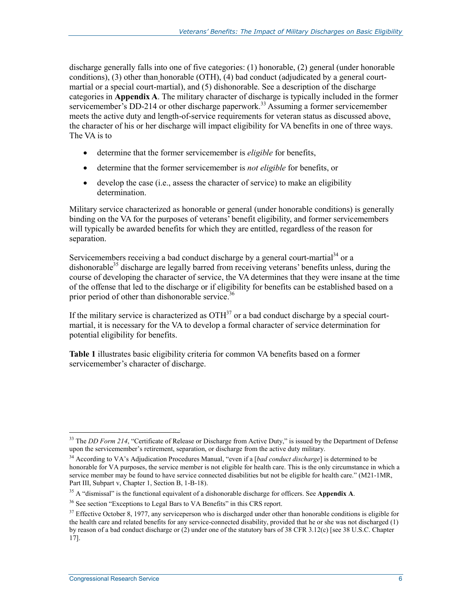discharge generally falls into one of five categories: (1) honorable, (2) general (under honorable conditions), (3) other than honorable (OTH), (4) bad conduct (adjudicated by a general courtmartial or a special court-martial), and (5) dishonorable. See a description of the discharge categories in **Appendix A**. The military character of discharge is typically included in the former servicemember's DD-214 or other discharge paperwork.<sup>33</sup> Assuming a former servicemember meets the active duty and length-of-service requirements for veteran status as discussed above, the character of his or her discharge will impact eligibility for VA benefits in one of three ways. The VA is to

- determine that the former servicemember is *eligible* for benefits,
- determine that the former servicemember is *not eligible* for benefits, or
- $\bullet$  develop the case (i.e., assess the character of service) to make an eligibility determination.

Military service characterized as honorable or general (under honorable conditions) is generally binding on the VA for the purposes of veterans' benefit eligibility, and former servicemembers will typically be awarded benefits for which they are entitled, regardless of the reason for separation.

Servicemembers receiving a bad conduct discharge by a general court-martial<sup>34</sup> or a dishonorable<sup>35</sup> discharge are legally barred from receiving veterans' benefits unless, during the course of developing the character of service, the VA determines that they were insane at the time of the offense that led to the discharge or if eligibility for benefits can be established based on a prior period of other than dishonorable service.<sup>36</sup>

If the military service is characterized as  $\text{OTH}^{37}$  or a bad conduct discharge by a special courtmartial, it is necessary for the VA to develop a formal character of service determination for potential eligibility for benefits.

**Table 1** illustrates basic eligibility criteria for common VA benefits based on a former servicemember's character of discharge.

<sup>33</sup> The *DD Form 214*, "Certificate of Release or Discharge from Active Duty," is issued by the Department of Defense upon the servicemember's retirement, separation, or discharge from the active duty military.

<sup>34</sup> According to VA's Adjudication Procedures Manual, "even if a [*bad conduct discharge*] is determined to be honorable for VA purposes, the service member is not eligible for health care. This is the only circumstance in which a service member may be found to have service connected disabilities but not be eligible for health care." (M21-1MR, Part III, Subpart v, Chapter 1, Section B, 1-B-18).

<sup>35</sup> A "dismissal" is the functional equivalent of a dishonorable discharge for officers. See **Appendix A**.

<sup>&</sup>lt;sup>36</sup> See section "Exceptions to Legal Bars to VA Benefits" in this CRS report.

 $37$  Effective October 8, 1977, any serviceperson who is discharged under other than honorable conditions is eligible for the health care and related benefits for any service-connected disability, provided that he or she was not discharged (1) by reason of a bad conduct discharge or (2) under one of the statutory bars of 38 CFR 3.12(c) [see 38 U.S.C. Chapter 17].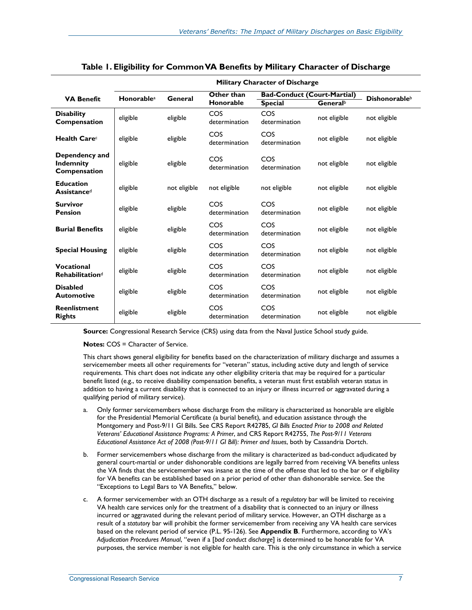|                                                    | <b>Military Character of Discharge</b> |              |                      |                                    |                      |              |
|----------------------------------------------------|----------------------------------------|--------------|----------------------|------------------------------------|----------------------|--------------|
| <b>VA Benefit</b>                                  | <b>Honorablea</b>                      | General      | Other than           | <b>Bad-Conduct (Court-Martial)</b> | <b>Dishonorableb</b> |              |
|                                                    |                                        |              | Honorable            | <b>Special</b>                     | General <sup>b</sup> |              |
| <b>Disability</b><br>Compensation                  | eligible                               | eligible     | COS<br>determination | COS<br>determination               | not eligible         | not eligible |
| Health Care <sup>c</sup>                           | eligible                               | eligible     | COS<br>determination | COS<br>determination               | not eligible         | not eligible |
| Dependency and<br><b>Indemnity</b><br>Compensation | eligible                               | eligible     | COS<br>determination | COS<br>determination               | not eligible         | not eligible |
| <b>Education</b><br>Assistanced                    | eligible                               | not eligible | not eligible         | not eligible                       | not eligible         | not eligible |
| <b>Survivor</b><br><b>Pension</b>                  | eligible                               | eligible     | COS<br>determination | COS<br>determination               | not eligible         | not eligible |
| <b>Burial Benefits</b>                             | eligible                               | eligible     | COS<br>determination | COS<br>determination               | not eligible         | not eligible |
| <b>Special Housing</b>                             | eligible                               | eligible     | COS<br>determination | COS<br>determination               | not eligible         | not eligible |
| <b>Vocational</b><br><b>Rehabilitationd</b>        | eligible                               | eligible     | COS<br>determination | COS<br>determination               | not eligible         | not eligible |
| <b>Disabled</b><br><b>Automotive</b>               | eligible                               | eligible     | COS<br>determination | COS<br>determination               | not eligible         | not eligible |
| <b>Reenlistment</b><br><b>Rights</b>               | eligible                               | eligible     | COS<br>determination | COS<br>determination               | not eligible         | not eligible |

|  |  | Table 1. Eligibility for Common VA Benefits by Military Character of Discharge |
|--|--|--------------------------------------------------------------------------------|
|--|--|--------------------------------------------------------------------------------|

**Source:** Congressional Research Service (CRS) using data from the Naval Justice School study guide.

**Notes: COS = Character of Service.** 

This chart shows general eligibility for benefits based on the characterization of military discharge and assumes a servicemember meets all other requirements for "veteran" status, including active duty and length of service requirements. This chart does not indicate any other eligibility criteria that may be required for a particular benefit listed (e.g., to receive disability compensation benefits, a veteran must first establish veteran status in addition to having a current disability that is connected to an injury or illness incurred or aggravated during a qualifying period of military service).

- a. Only former servicemembers whose discharge from the military is characterized as honorable are eligible for the Presidential Memorial Certificate (a burial benefit), and education assistance through the Montgomery and Post-9/11 GI Bills. See CRS Report R42785, *GI Bills Enacted Prior to 2008 and Related Veterans' Educational Assistance Programs: A Primer*, and CRS Report R42755, *The Post-9/11 Veterans Educational Assistance Act of 2008 (Post-9/11 GI Bill): Primer and Issues*, both by Cassandria Dortch.
- b. Former servicemembers whose discharge from the military is characterized as bad-conduct adjudicated by general court-martial or under dishonorable conditions are legally barred from receiving VA benefits unless the VA finds that the servicemember was insane at the time of the offense that led to the bar or if eligibility for VA benefits can be established based on a prior period of other than dishonorable service. See the "Exceptions to Legal Bars to VA Benefits," below.
- c. A former servicemember with an OTH discharge as a result of a *regulatory* bar will be limited to receiving VA health care services only for the treatment of a disability that is connected to an injury or illness incurred or aggravated during the relevant period of military service. However, an OTH discharge as a result of a *statutory* bar will prohibit the former servicemember from receiving any VA health care services based on the relevant period of service (P.L. 95-126). See **Appendix B**. Furthermore, according to VA's *Adjudication Procedures Manual*, "even if a [*bad conduct discharge*] is determined to be honorable for VA purposes, the service member is not eligible for health care. This is the only circumstance in which a service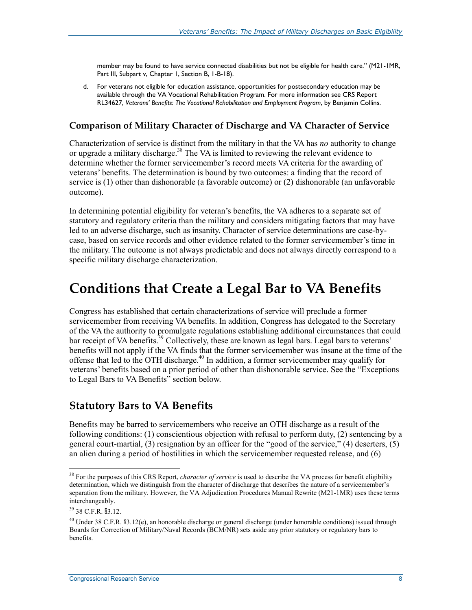member may be found to have service connected disabilities but not be eligible for health care." (M21-1MR, Part III, Subpart v, Chapter 1, Section B, 1-B-18).

d. For veterans not eligible for education assistance, opportunities for postsecondary education may be available through the VA Vocational Rehabilitation Program. For more information see CRS Report RL34627, *Veterans' Benefits: The Vocational Rehabilitation and Employment Program*, by Benjamin Collins.

#### **Comparison of Military Character of Discharge and VA Character of Service**

Characterization of service is distinct from the military in that the VA has *no* authority to change or upgrade a military discharge.<sup>38</sup> The VA is limited to reviewing the relevant evidence to determine whether the former servicemember's record meets VA criteria for the awarding of veterans' benefits. The determination is bound by two outcomes: a finding that the record of service is (1) other than dishonorable (a favorable outcome) or (2) dishonorable (an unfavorable outcome).

In determining potential eligibility for veteran's benefits, the VA adheres to a separate set of statutory and regulatory criteria than the military and considers mitigating factors that may have led to an adverse discharge, such as insanity. Character of service determinations are case-bycase, based on service records and other evidence related to the former servicemember's time in the military. The outcome is not always predictable and does not always directly correspond to a specific military discharge characterization.

### **Conditions that Create a Legal Bar to VA Benefits**

Congress has established that certain characterizations of service will preclude a former servicemember from receiving VA benefits. In addition, Congress has delegated to the Secretary of the VA the authority to promulgate regulations establishing additional circumstances that could bar receipt of VA benefits.<sup>39</sup> Collectively, these are known as legal bars. Legal bars to veterans' benefits will not apply if the VA finds that the former servicemember was insane at the time of the offense that led to the OTH discharge.40 In addition, a former servicemember may qualify for veterans' benefits based on a prior period of other than dishonorable service. See the "Exceptions to Legal Bars to VA Benefits" section below.

#### **Statutory Bars to VA Benefits**

Benefits may be barred to servicemembers who receive an OTH discharge as a result of the following conditions: (1) conscientious objection with refusal to perform duty, (2) sentencing by a general court-martial, (3) resignation by an officer for the "good of the service," (4) deserters, (5) an alien during a period of hostilities in which the servicemember requested release, and (6)

<sup>38</sup> For the purposes of this CRS Report, *character of service* is used to describe the VA process for benefit eligibility determination, which we distinguish from the character of discharge that describes the nature of a servicemember's separation from the military. However, the VA Adjudication Procedures Manual Rewrite (M21-1MR) uses these terms interchangeably.

<sup>39 38</sup> C.F.R. §3.12.

<sup>40</sup> Under 38 C.F.R. §3.12(e), an honorable discharge or general discharge (under honorable conditions) issued through Boards for Correction of Military/Naval Records (BCM/NR) sets aside any prior statutory or regulatory bars to benefits.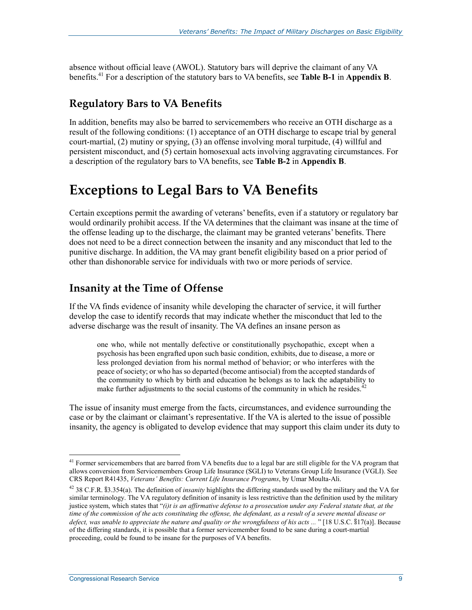absence without official leave (AWOL). Statutory bars will deprive the claimant of any VA benefits.41 For a description of the statutory bars to VA benefits, see **Table B-1** in **Appendix B**.

#### **Regulatory Bars to VA Benefits**

In addition, benefits may also be barred to servicemembers who receive an OTH discharge as a result of the following conditions: (1) acceptance of an OTH discharge to escape trial by general court-martial, (2) mutiny or spying, (3) an offense involving moral turpitude, (4) willful and persistent misconduct, and (5) certain homosexual acts involving aggravating circumstances. For a description of the regulatory bars to VA benefits, see **Table B-2** in **Appendix B**.

### **Exceptions to Legal Bars to VA Benefits**

Certain exceptions permit the awarding of veterans' benefits, even if a statutory or regulatory bar would ordinarily prohibit access. If the VA determines that the claimant was insane at the time of the offense leading up to the discharge, the claimant may be granted veterans' benefits. There does not need to be a direct connection between the insanity and any misconduct that led to the punitive discharge. In addition, the VA may grant benefit eligibility based on a prior period of other than dishonorable service for individuals with two or more periods of service.

#### **Insanity at the Time of Offense**

If the VA finds evidence of insanity while developing the character of service, it will further develop the case to identify records that may indicate whether the misconduct that led to the adverse discharge was the result of insanity. The VA defines an insane person as

one who, while not mentally defective or constitutionally psychopathic, except when a psychosis has been engrafted upon such basic condition, exhibits, due to disease, a more or less prolonged deviation from his normal method of behavior; or who interferes with the peace of society; or who has so departed (become antisocial) from the accepted standards of the community to which by birth and education he belongs as to lack the adaptability to make further adjustments to the social customs of the community in which he resides.<sup> $42$ </sup>

The issue of insanity must emerge from the facts, circumstances, and evidence surrounding the case or by the claimant or claimant's representative. If the VA is alerted to the issue of possible insanity, the agency is obligated to develop evidence that may support this claim under its duty to

<sup>&</sup>lt;sup>41</sup> Former servicemembers that are barred from VA benefits due to a legal bar are still eligible for the VA program that allows conversion from Servicemembers Group Life Insurance (SGLI) to Veterans Group Life Insurance (VGLI). See CRS Report R41435, *Veterans' Benefits: Current Life Insurance Programs*, by Umar Moulta-Ali.

<sup>42 38</sup> C.F.R. §3.354(a). The definition of *insanity* highlights the differing standards used by the military and the VA for similar terminology. The VA regulatory definition of insanity is less restrictive than the definition used by the military justice system, which states that "*(i)t is an affirmative defense to a prosecution under any Federal statute that, at the time of the commission of the acts constituting the offense, the defendant, as a result of a severe mental disease or defect, was unable to appreciate the nature and quality or the wrongfulness of his acts ...* " [18 U.S.C. §17(a)]. Because of the differing standards, it is possible that a former servicemember found to be sane during a court-martial proceeding, could be found to be insane for the purposes of VA benefits.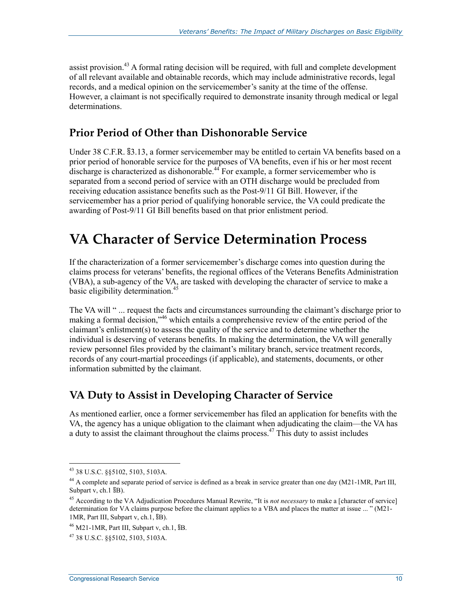assist provision.<sup>43</sup> A formal rating decision will be required, with full and complete development of all relevant available and obtainable records, which may include administrative records, legal records, and a medical opinion on the servicemember's sanity at the time of the offense. However, a claimant is not specifically required to demonstrate insanity through medical or legal determinations.

#### **Prior Period of Other than Dishonorable Service**

Under 38 C.F.R. §3.13, a former servicemember may be entitled to certain VA benefits based on a prior period of honorable service for the purposes of VA benefits, even if his or her most recent discharge is characterized as dishonorable.<sup>44</sup> For example, a former servicemember who is separated from a second period of service with an OTH discharge would be precluded from receiving education assistance benefits such as the Post-9/11 GI Bill. However, if the servicemember has a prior period of qualifying honorable service, the VA could predicate the awarding of Post-9/11 GI Bill benefits based on that prior enlistment period.

### **VA Character of Service Determination Process**

If the characterization of a former servicemember's discharge comes into question during the claims process for veterans' benefits, the regional offices of the Veterans Benefits Administration (VBA), a sub-agency of the VA, are tasked with developing the character of service to make a basic eligibility determination.<sup>45</sup>

The VA will " ... request the facts and circumstances surrounding the claimant's discharge prior to making a formal decision,"<sup>46</sup> which entails a comprehensive review of the entire period of the claimant's enlistment(s) to assess the quality of the service and to determine whether the individual is deserving of veterans benefits. In making the determination, the VA will generally review personnel files provided by the claimant's military branch, service treatment records, records of any court-martial proceedings (if applicable), and statements, documents, or other information submitted by the claimant.

#### **VA Duty to Assist in Developing Character of Service**

As mentioned earlier, once a former servicemember has filed an application for benefits with the VA, the agency has a unique obligation to the claimant when adjudicating the claim—the VA has a duty to assist the claimant throughout the claims process.<sup>47</sup> This duty to assist includes

<sup>43 38</sup> U.S.C. §§5102, 5103, 5103A.

<sup>&</sup>lt;sup>44</sup> A complete and separate period of service is defined as a break in service greater than one day (M21-1MR, Part III, Subpart v, ch.1  $$B$ ).

<sup>45</sup> According to the VA Adjudication Procedures Manual Rewrite, "It is *not necessary* to make a [character of service] determination for VA claims purpose before the claimant applies to a VBA and places the matter at issue ... " (M21- 1MR, Part III, Subpart v, ch.1, §B).

 $46$  M21-1MR, Part III, Subpart v, ch.1,  $B$ B.

<sup>47 38</sup> U.S.C. §§5102, 5103, 5103A.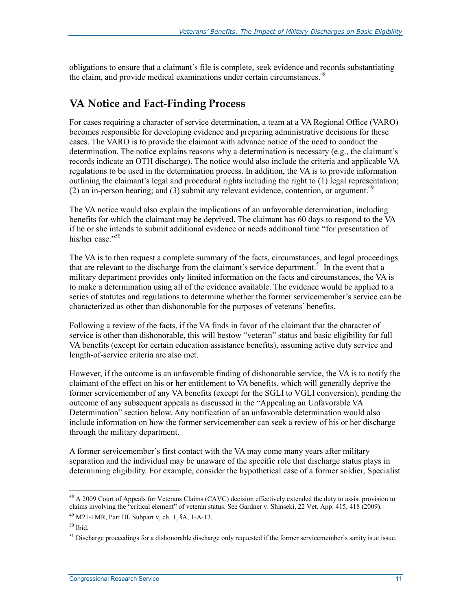obligations to ensure that a claimant's file is complete, seek evidence and records substantiating the claim, and provide medical examinations under certain circumstances.<sup>48</sup>

#### **VA Notice and Fact-Finding Process**

For cases requiring a character of service determination, a team at a VA Regional Office (VARO) becomes responsible for developing evidence and preparing administrative decisions for these cases. The VARO is to provide the claimant with advance notice of the need to conduct the determination. The notice explains reasons why a determination is necessary (e.g., the claimant's records indicate an OTH discharge). The notice would also include the criteria and applicable VA regulations to be used in the determination process. In addition, the VA is to provide information outlining the claimant's legal and procedural rights including the right to (1) legal representation; (2) an in-person hearing; and (3) submit any relevant evidence, contention, or argument.<sup>49</sup>

The VA notice would also explain the implications of an unfavorable determination, including benefits for which the claimant may be deprived. The claimant has 60 days to respond to the VA if he or she intends to submit additional evidence or needs additional time "for presentation of his/her case."<sup>50</sup>

The VA is to then request a complete summary of the facts, circumstances, and legal proceedings that are relevant to the discharge from the claimant's service department.<sup>51</sup> In the event that a military department provides only limited information on the facts and circumstances, the VA is to make a determination using all of the evidence available. The evidence would be applied to a series of statutes and regulations to determine whether the former servicemember's service can be characterized as other than dishonorable for the purposes of veterans' benefits.

Following a review of the facts, if the VA finds in favor of the claimant that the character of service is other than dishonorable, this will bestow "veteran" status and basic eligibility for full VA benefits (except for certain education assistance benefits), assuming active duty service and length-of-service criteria are also met.

However, if the outcome is an unfavorable finding of dishonorable service, the VA is to notify the claimant of the effect on his or her entitlement to VA benefits, which will generally deprive the former servicemember of any VA benefits (except for the SGLI to VGLI conversion), pending the outcome of any subsequent appeals as discussed in the "Appealing an Unfavorable VA Determination" section below. Any notification of an unfavorable determination would also include information on how the former servicemember can seek a review of his or her discharge through the military department.

A former servicemember's first contact with the VA may come many years after military separation and the individual may be unaware of the specific role that discharge status plays in determining eligibility. For example, consider the hypothetical case of a former soldier, Specialist

 $48$  A 2009 Court of Appeals for Veterans Claims (CAVC) decision effectively extended the duty to assist provision to claims involving the "critical element" of veteran status. See Gardner v. Shinseki, 22 Vet. App. 415, 418 (2009).

<sup>49</sup> M21-1MR, Part III, Subpart v, ch. 1, §A, 1-A-13.

 $50$  Ibid.

 $<sup>51</sup>$  Discharge proceedings for a dishonorable discharge only requested if the former servicemember's sanity is at issue.</sup>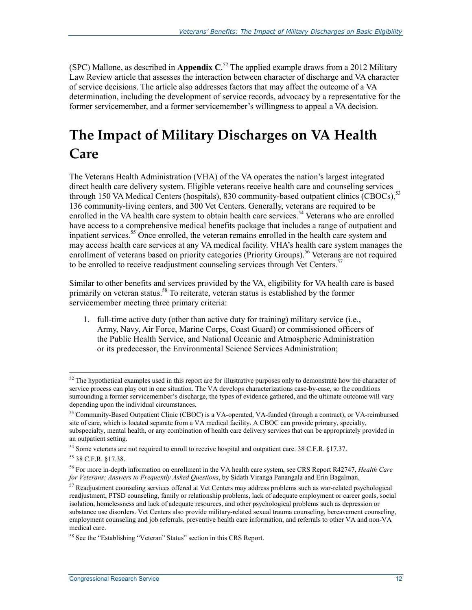(SPC) Mallone, as described in **Appendix C**. 52 The applied example draws from a 2012 Military Law Review article that assesses the interaction between character of discharge and VA character of service decisions. The article also addresses factors that may affect the outcome of a VA determination, including the development of service records, advocacy by a representative for the former servicemember, and a former servicemember's willingness to appeal a VA decision.

## **The Impact of Military Discharges on VA Health Care**

The Veterans Health Administration (VHA) of the VA operates the nation's largest integrated direct health care delivery system. Eligible veterans receive health care and counseling services through 150 VA Medical Centers (hospitals), 830 community-based outpatient clinics (CBOCs),<sup>53</sup> 136 community-living centers, and 300 Vet Centers. Generally, veterans are required to be enrolled in the VA health care system to obtain health care services.<sup>54</sup> Veterans who are enrolled have access to a comprehensive medical benefits package that includes a range of outpatient and inpatient services.<sup>55</sup> Once enrolled, the veteran remains enrolled in the health care system and may access health care services at any VA medical facility. VHA's health care system manages the enrollment of veterans based on priority categories (Priority Groups).<sup>56</sup> Veterans are not required to be enrolled to receive readjustment counseling services through Vet Centers.<sup>57</sup>

Similar to other benefits and services provided by the VA, eligibility for VA health care is based primarily on veteran status.<sup>58</sup> To reiterate, veteran status is established by the former servicemember meeting three primary criteria:

1. full-time active duty (other than active duty for training) military service (i.e., Army, Navy, Air Force, Marine Corps, Coast Guard) or commissioned officers of the Public Health Service, and National Oceanic and Atmospheric Administration or its predecessor, the Environmental Science Services Administration;

<u>.</u>

 $52$  The hypothetical examples used in this report are for illustrative purposes only to demonstrate how the character of service process can play out in one situation. The VA develops characterizations case-by-case, so the conditions surrounding a former servicemember's discharge, the types of evidence gathered, and the ultimate outcome will vary depending upon the individual circumstances.

<sup>53</sup> Community-Based Outpatient Clinic (CBOC) is a VA-operated, VA-funded (through a contract), or VA-reimbursed site of care, which is located separate from a VA medical facility. A CBOC can provide primary, specialty, subspecialty, mental health, or any combination of health care delivery services that can be appropriately provided in an outpatient setting.

<sup>&</sup>lt;sup>54</sup> Some veterans are not required to enroll to receive hospital and outpatient care. 38 C.F.R. §17.37.

<sup>55 38</sup> C.F.R. §17.38.

<sup>56</sup> For more in-depth information on enrollment in the VA health care system, see CRS Report R42747, *Health Care for Veterans: Answers to Frequently Asked Questions*, by Sidath Viranga Panangala and Erin Bagalman.

<sup>&</sup>lt;sup>57</sup> Readjustment counseling services offered at Vet Centers may address problems such as war-related psychological readjustment, PTSD counseling, family or relationship problems, lack of adequate employment or career goals, social isolation, homelessness and lack of adequate resources, and other psychological problems such as depression or substance use disorders. Vet Centers also provide military-related sexual trauma counseling, bereavement counseling, employment counseling and job referrals, preventive health care information, and referrals to other VA and non-VA medical care.

<sup>&</sup>lt;sup>58</sup> See the "Establishing "Veteran" Status" section in this CRS Report.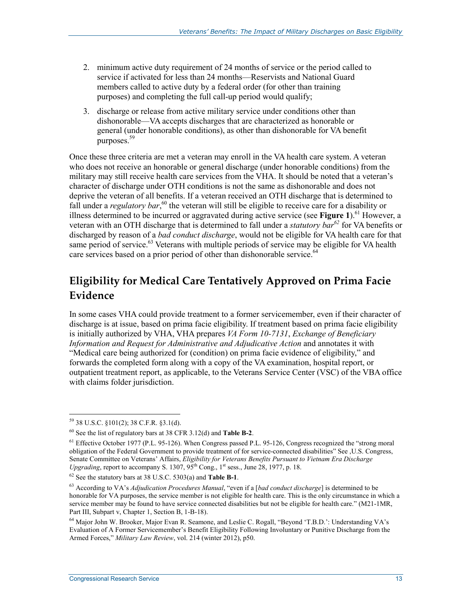- 2. minimum active duty requirement of 24 months of service or the period called to service if activated for less than 24 months—Reservists and National Guard members called to active duty by a federal order (for other than training purposes) and completing the full call-up period would qualify;
- 3. discharge or release from active military service under conditions other than dishonorable—VA accepts discharges that are characterized as honorable or general (under honorable conditions), as other than dishonorable for VA benefit purposes.<sup>59</sup>

Once these three criteria are met a veteran may enroll in the VA health care system. A veteran who does not receive an honorable or general discharge (under honorable conditions) from the military may still receive health care services from the VHA. It should be noted that a veteran's character of discharge under OTH conditions is not the same as dishonorable and does not deprive the veteran of all benefits. If a veteran received an OTH discharge that is determined to fall under a *regulatory bar*,<sup>60</sup> the veteran will still be eligible to receive care for a disability or illness determined to be incurred or aggravated during active service (see **Figure 1**).<sup>61</sup> However, a veteran with an OTH discharge that is determined to fall under a *statutory bar*<sup>62</sup> for VA benefits or discharged by reason of a *bad conduct discharge*, would not be eligible for VA health care for that same period of service.<sup>63</sup> Veterans with multiple periods of service may be eligible for VA health care services based on a prior period of other than dishonorable service.<sup>64</sup>

### **Eligibility for Medical Care Tentatively Approved on Prima Facie Evidence**

In some cases VHA could provide treatment to a former servicemember, even if their character of discharge is at issue, based on prima facie eligibility. If treatment based on prima facie eligibility is initially authorized by VHA, VHA prepares *VA Form 10-7131*, *Exchange of Beneficiary Information and Request for Administrative and Adjudicative Action* and annotates it with "Medical care being authorized for (condition) on prima facie evidence of eligibility," and forwards the completed form along with a copy of the VA examination, hospital report, or outpatient treatment report, as applicable, to the Veterans Service Center (VSC) of the VBA office with claims folder jurisdiction.

<u>.</u>

<sup>59 38</sup> U.S.C. §101(2); 38 C.F.R. §3.1(d).

<sup>60</sup> See the list of regulatory bars at 38 CFR 3.12(d) and **Table B-2**.

<sup>&</sup>lt;sup>61</sup> Effective October 1977 (P.L. 95-126). When Congress passed P.L. 95-126, Congress recognized the "strong moral obligation of the Federal Government to provide treatment of for service-connected disabilities" See ,U.S. Congress, Senate Committee on Veterans' Affairs, *Eligibility for Veterans Benefits Pursuant to Vietnam Era Discharge Upgrading*, report to accompany S.  $1307, 95^{th}$  Cong.,  $1^{st}$  sess., June 28, 1977, p. 18.

<sup>62</sup> See the statutory bars at 38 U.S.C. 5303(a) and **Table B-1**.

<sup>63</sup> According to VA's *Adjudication Procedures Manual*, "even if a [*bad conduct discharge*] is determined to be honorable for VA purposes, the service member is not eligible for health care. This is the only circumstance in which a service member may be found to have service connected disabilities but not be eligible for health care." (M21-1MR, Part III, Subpart v, Chapter 1, Section B, 1-B-18).

<sup>64</sup> Major John W. Brooker, Major Evan R. Seamone, and Leslie C. Rogall, "Beyond 'T.B.D.': Understanding VA's Evaluation of A Former Servicemember's Benefit Eligibility Following Involuntary or Punitive Discharge from the Armed Forces," *Military Law Review*, vol. 214 (winter 2012), p50.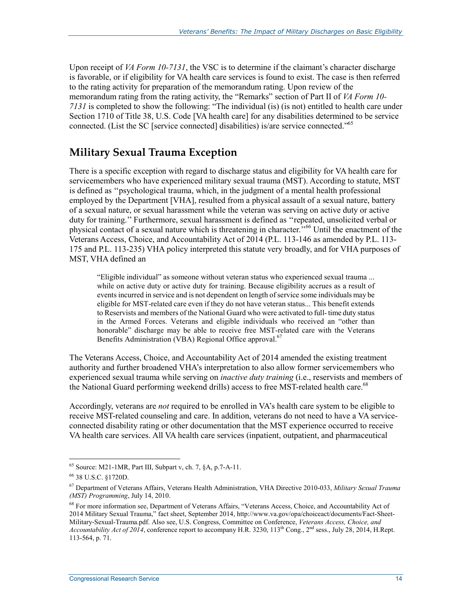Upon receipt of *VA Form 10-7131*, the VSC is to determine if the claimant's character discharge is favorable, or if eligibility for VA health care services is found to exist. The case is then referred to the rating activity for preparation of the memorandum rating. Upon review of the memorandum rating from the rating activity, the "Remarks" section of Part II of *VA Form 10- 7131* is completed to show the following: "The individual (is) (is not) entitled to health care under Section 1710 of Title 38, U.S. Code [VA health care] for any disabilities determined to be service connected. (List the SC [service connected] disabilities) is/are service connected."65

### **Military Sexual Trauma Exception**

There is a specific exception with regard to discharge status and eligibility for VA health care for servicemembers who have experienced military sexual trauma (MST). According to statute, MST is defined as ''psychological trauma, which, in the judgment of a mental health professional employed by the Department [VHA], resulted from a physical assault of a sexual nature, battery of a sexual nature, or sexual harassment while the veteran was serving on active duty or active duty for training.'' Furthermore, sexual harassment is defined as ''repeated, unsolicited verbal or physical contact of a sexual nature which is threatening in character.''66 Until the enactment of the Veterans Access, Choice, and Accountability Act of 2014 (P.L. 113-146 as amended by P.L. 113- 175 and P.L. 113-235) VHA policy interpreted this statute very broadly, and for VHA purposes of MST, VHA defined an

"Eligible individual" as someone without veteran status who experienced sexual trauma ... while on active duty or active duty for training. Because eligibility accrues as a result of events incurred in service and is not dependent on length of service some individuals may be eligible for MST-related care even if they do not have veteran status... This benefit extends to Reservists and members of the National Guard who were activated to full- time duty status in the Armed Forces. Veterans and eligible individuals who received an "other than honorable" discharge may be able to receive free MST-related care with the Veterans Benefits Administration (VBA) Regional Office approval.<sup>67</sup>

The Veterans Access, Choice, and Accountability Act of 2014 amended the existing treatment authority and further broadened VHA's interpretation to also allow former servicemembers who experienced sexual trauma while serving on *inactive duty training* (i.e., reservists and members of the National Guard performing weekend drills) access to free MST-related health care.<sup>68</sup>

Accordingly, veterans are *not* required to be enrolled in VA's health care system to be eligible to receive MST-related counseling and care. In addition, veterans do not need to have a VA serviceconnected disability rating or other documentation that the MST experience occurred to receive VA health care services. All VA health care services (inpatient, outpatient, and pharmaceutical

 $65$  Source: M21-1MR, Part III, Subpart v, ch. 7,  $\S$ A, p. 7-A-11.

<sup>66 38</sup> U.S.C. §1720D.

<sup>67</sup> Department of Veterans Affairs, Veterans Health Administration, VHA Directive 2010-033, *Military Sexual Trauma (MST) Programming*, July 14, 2010.

<sup>&</sup>lt;sup>68</sup> For more information see, Department of Veterans Affairs, "Veterans Access, Choice, and Accountability Act of 2014 Military Sexual Trauma," fact sheet, September 2014, http://www.va.gov/opa/choiceact/documents/Fact-Sheet-Military-Sexual-Trauma.pdf. Also see, U.S. Congress, Committee on Conference, *Veterans Access, Choice, and Accountability Act of 2014*, conference report to accompany H.R. 3230, 113th Cong., 2nd sess., July 28, 2014, H.Rept. 113-564, p. 71.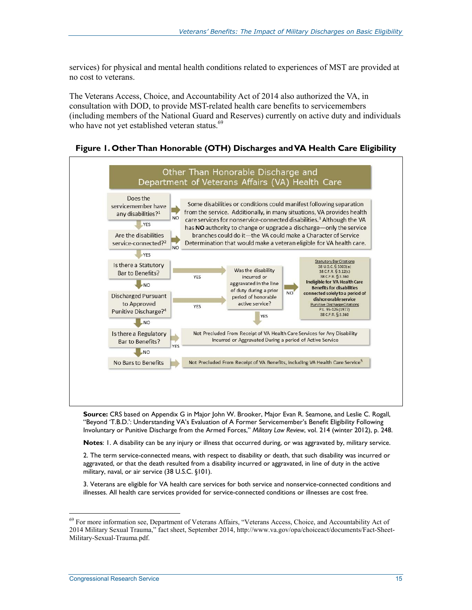services) for physical and mental health conditions related to experiences of MST are provided at no cost to veterans.

The Veterans Access, Choice, and Accountability Act of 2014 also authorized the VA, in consultation with DOD, to provide MST-related health care benefits to servicemembers (including members of the National Guard and Reserves) currently on active duty and individuals who have not yet established veteran status.<sup>69</sup>

**Figure 1. Other Than Honorable (OTH) Discharges and VA Health Care Eligibility** 



**Source:** CRS based on Appendix G in Major John W. Brooker, Major Evan R. Seamone, and Leslie C. Rogall, "Beyond 'T.B.D.': Understanding VA's Evaluation of A Former Servicemember's Benefit Eligibility Following Involuntary or Punitive Discharge from the Armed Forces," *Military Law Review*, vol. 214 (winter 2012), p. 248.

**Notes**: 1. A disability can be any injury or illness that occurred during, or was aggravated by, military service.

2. The term service-connected means, with respect to disability or death, that such disability was incurred or aggravated, or that the death resulted from a disability incurred or aggravated, in line of duty in the active military, naval, or air service (38 U.S.C. §101).

3. Veterans are eligible for VA health care services for both service and nonservice-connected conditions and illnesses. All health care services provided for service-connected conditions or illnesses are cost free.

<sup>&</sup>lt;sup>69</sup> For more information see, Department of Veterans Affairs, "Veterans Access, Choice, and Accountability Act of 2014 Military Sexual Trauma," fact sheet, September 2014, http://www.va.gov/opa/choiceact/documents/Fact-Sheet-Military-Sexual-Trauma.pdf.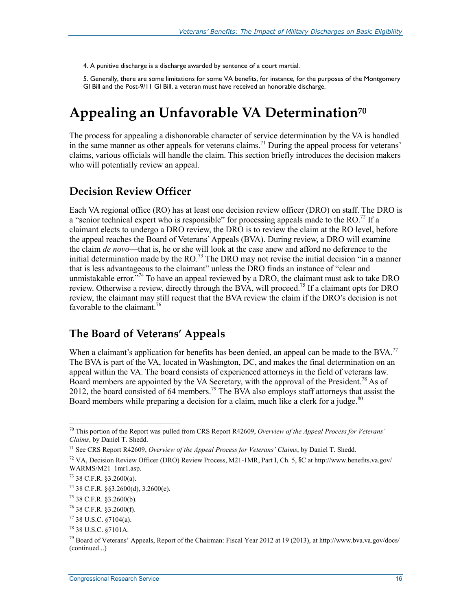4. A punitive discharge is a discharge awarded by sentence of a court martial.

5. Generally, there are some limitations for some VA benefits, for instance, for the purposes of the Montgomery GI Bill and the Post-9/11 GI Bill, a veteran must have received an honorable discharge.

### **Appealing an Unfavorable VA Determination70**

The process for appealing a dishonorable character of service determination by the VA is handled in the same manner as other appeals for veterans claims.<sup>71</sup> During the appeal process for veterans' claims, various officials will handle the claim. This section briefly introduces the decision makers who will potentially review an appeal.

#### **Decision Review Officer**

Each VA regional office (RO) has at least one decision review officer (DRO) on staff. The DRO is a "senior technical expert who is responsible" for processing appeals made to the RO.<sup>72</sup> If a claimant elects to undergo a DRO review, the DRO is to review the claim at the RO level, before the appeal reaches the Board of Veterans' Appeals (BVA). During review, a DRO will examine the claim *de novo*—that is, he or she will look at the case anew and afford no deference to the initial determination made by the RO.<sup>73</sup> The DRO may not revise the initial decision "in a manner" that is less advantageous to the claimant" unless the DRO finds an instance of "clear and unmistakable error. $174$  To have an appeal reviewed by a DRO, the claimant must ask to take DRO review. Otherwise a review, directly through the BVA, will proceed.75 If a claimant opts for DRO review, the claimant may still request that the BVA review the claim if the DRO's decision is not favorable to the claimant  $^{76}$ 

#### **The Board of Veterans' Appeals**

When a claimant's application for benefits has been denied, an appeal can be made to the BVA.<sup>77</sup> The BVA is part of the VA, located in Washington, DC, and makes the final determination on an appeal within the VA. The board consists of experienced attorneys in the field of veterans law. Board members are appointed by the VA Secretary, with the approval of the President.<sup>78</sup> As of 2012, the board consisted of 64 members.<sup>79</sup> The BVA also employs staff attorneys that assist the Board members while preparing a decision for a claim, much like a clerk for a judge.<sup>80</sup>

<u>.</u>

<sup>70</sup> This portion of the Report was pulled from CRS Report R42609, *Overview of the Appeal Process for Veterans' Claims*, by Daniel T. Shedd.

<sup>71</sup> See CRS Report R42609, *Overview of the Appeal Process for Veterans' Claims*, by Daniel T. Shedd.

<sup>&</sup>lt;sup>72</sup> VA, Decision Review Officer (DRO) Review Process, M21-1MR, Part I, Ch. 5, §C at http://www.benefits.va.gov/ WARMS/M21\_1mr1.asp.

 $73$  38 C.F.R.  $$3,2600(a)$ .

 $74$  38 C.F.R. §§3.2600(d), 3.2600(e).

 $75$  38 C.F.R. §3.2600(b).

<sup>76 38</sup> C.F.R. §3.2600(f).

<sup>77 38</sup> U.S.C. §7104(a).

<sup>78 38</sup> U.S.C. §7101A.

<sup>&</sup>lt;sup>79</sup> Board of Veterans' Appeals, Report of the Chairman: Fiscal Year 2012 at 19 (2013), at http://www.bva.va.gov/docs/ (continued...)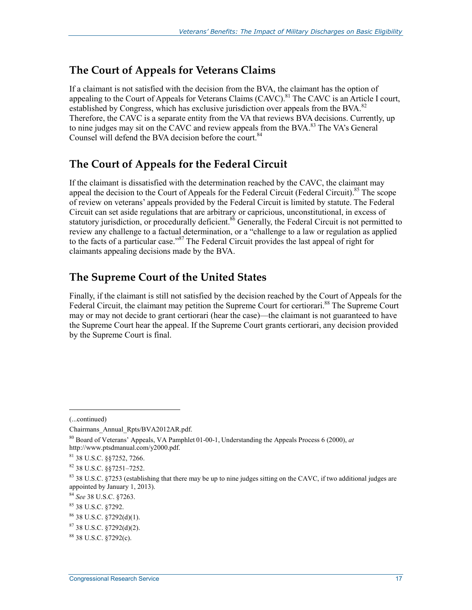#### **The Court of Appeals for Veterans Claims**

If a claimant is not satisfied with the decision from the BVA, the claimant has the option of appealing to the Court of Appeals for Veterans Claims  $(CAVC)$ .<sup>81</sup> The CAVC is an Article I court, established by Congress, which has exclusive jurisdiction over appeals from the BVA.<sup>82</sup> Therefore, the CAVC is a separate entity from the VA that reviews BVA decisions. Currently, up to nine judges may sit on the CAVC and review appeals from the BVA.<sup>83</sup> The VA's General Counsel will defend the BVA decision before the court.<sup>84</sup>

### **The Court of Appeals for the Federal Circuit**

If the claimant is dissatisfied with the determination reached by the CAVC, the claimant may appeal the decision to the Court of Appeals for the Federal Circuit (Federal Circuit).<sup>85</sup> The scope of review on veterans' appeals provided by the Federal Circuit is limited by statute. The Federal Circuit can set aside regulations that are arbitrary or capricious, unconstitutional, in excess of statutory jurisdiction, or procedurally deficient.<sup>86</sup> Generally, the Federal Circuit is not permitted to review any challenge to a factual determination, or a "challenge to a law or regulation as applied to the facts of a particular case."<sup>87</sup> The Federal Circuit provides the last appeal of right for claimants appealing decisions made by the BVA.

#### **The Supreme Court of the United States**

Finally, if the claimant is still not satisfied by the decision reached by the Court of Appeals for the Federal Circuit, the claimant may petition the Supreme Court for certiorari.<sup>88</sup> The Supreme Court may or may not decide to grant certiorari (hear the case)—the claimant is not guaranteed to have the Supreme Court hear the appeal. If the Supreme Court grants certiorari, any decision provided by the Supreme Court is final.

<sup>(...</sup>continued)

Chairmans\_Annual\_Rpts/BVA2012AR.pdf.

<sup>80</sup> Board of Veterans' Appeals, VA Pamphlet 01-00-1, Understanding the Appeals Process 6 (2000), *at*  http://www.ptsdmanual.com/y2000.pdf.

<sup>81 38</sup> U.S.C. §§7252, 7266.

<sup>82 38</sup> U.S.C. §§7251–7252.

<sup>83 38</sup> U.S.C. §7253 (establishing that there may be up to nine judges sitting on the CAVC, if two additional judges are appointed by January 1, 2013).

<sup>84</sup> *See* 38 U.S.C. §7263.

<sup>85 38</sup> U.S.C. §7292.

<sup>86 38</sup> U.S.C. §7292(d)(1).

 $87$  38 U.S.C.  $$7292(d)(2)$ .

<sup>88 38</sup> U.S.C. §7292(c).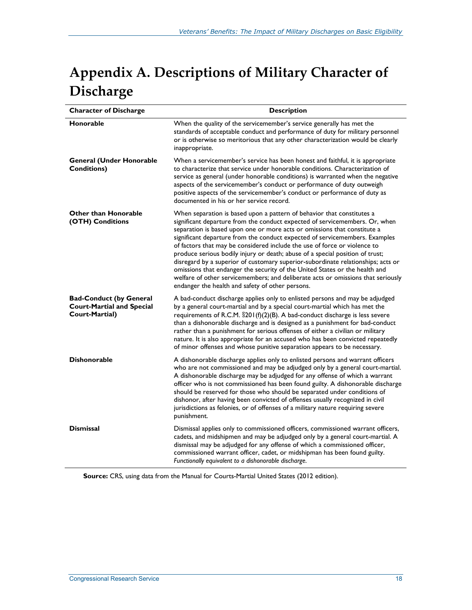## **Appendix A. Descriptions of Military Character of Discharge**

| <b>Character of Discharge</b>                                                        | <b>Description</b>                                                                                                                                                                                                                                                                                                                                                                                                                                                                                                                                                                                                                                                                                                                                                                        |  |  |
|--------------------------------------------------------------------------------------|-------------------------------------------------------------------------------------------------------------------------------------------------------------------------------------------------------------------------------------------------------------------------------------------------------------------------------------------------------------------------------------------------------------------------------------------------------------------------------------------------------------------------------------------------------------------------------------------------------------------------------------------------------------------------------------------------------------------------------------------------------------------------------------------|--|--|
| Honorable                                                                            | When the quality of the servicemember's service generally has met the<br>standards of acceptable conduct and performance of duty for military personnel<br>or is otherwise so meritorious that any other characterization would be clearly<br>inappropriate.                                                                                                                                                                                                                                                                                                                                                                                                                                                                                                                              |  |  |
| <b>General (Under Honorable</b><br><b>Conditions)</b>                                | When a servicemember's service has been honest and faithful, it is appropriate<br>to characterize that service under honorable conditions. Characterization of<br>service as general (under honorable conditions) is warranted when the negative<br>aspects of the servicemember's conduct or performance of duty outweigh<br>positive aspects of the servicemember's conduct or performance of duty as<br>documented in his or her service record.                                                                                                                                                                                                                                                                                                                                       |  |  |
| <b>Other than Honorable</b><br>(OTH) Conditions                                      | When separation is based upon a pattern of behavior that constitutes a<br>significant departure from the conduct expected of servicemembers. Or, when<br>separation is based upon one or more acts or omissions that constitute a<br>significant departure from the conduct expected of servicemembers. Examples<br>of factors that may be considered include the use of force or violence to<br>produce serious bodily injury or death; abuse of a special position of trust;<br>disregard by a superior of customary superior-subordinate relationships; acts or<br>omissions that endanger the security of the United States or the health and<br>welfare of other servicemembers; and deliberate acts or omissions that seriously<br>endanger the health and safety of other persons. |  |  |
| <b>Bad-Conduct (by General</b><br><b>Court-Martial and Special</b><br>Court-Martial) | A bad-conduct discharge applies only to enlisted persons and may be adjudged<br>by a general court-martial and by a special court-martial which has met the<br>requirements of R.C.M. §201(f)(2)(B). A bad-conduct discharge is less severe<br>than a dishonorable discharge and is designed as a punishment for bad-conduct<br>rather than a punishment for serious offenses of either a civilian or military<br>nature. It is also appropriate for an accused who has been convicted repeatedly<br>of minor offenses and whose punitive separation appears to be necessary.                                                                                                                                                                                                             |  |  |
| <b>Dishonorable</b>                                                                  | A dishonorable discharge applies only to enlisted persons and warrant officers<br>who are not commissioned and may be adjudged only by a general court-martial.<br>A dishonorable discharge may be adjudged for any offense of which a warrant<br>officer who is not commissioned has been found guilty. A dishonorable discharge<br>should be reserved for those who should be separated under conditions of<br>dishonor, after having been convicted of offenses usually recognized in civil<br>jurisdictions as felonies, or of offenses of a military nature requiring severe<br>punishment.                                                                                                                                                                                          |  |  |
| <b>Dismissal</b>                                                                     | Dismissal applies only to commissioned officers, commissioned warrant officers,<br>cadets, and midshipmen and may be adjudged only by a general court-martial. A<br>dismissal may be adjudged for any offense of which a commissioned officer,<br>commissioned warrant officer, cadet, or midshipman has been found guilty.<br>Functionally equivalent to a dishonorable discharge.                                                                                                                                                                                                                                                                                                                                                                                                       |  |  |

**Source:** CRS, using data from the Manual for Courts-Martial United States (2012 edition).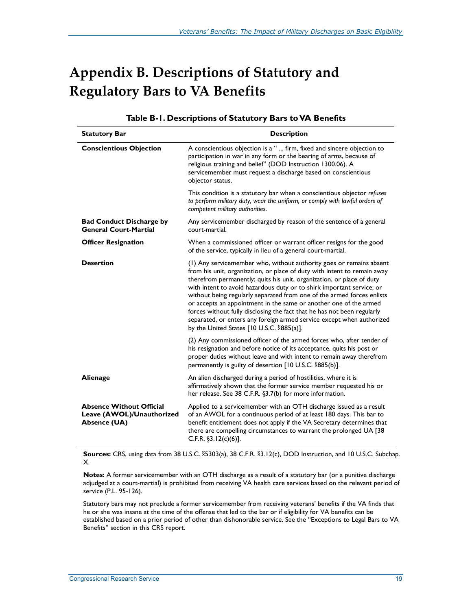## **Appendix B. Descriptions of Statutory and Regulatory Bars to VA Benefits**

| <b>Statutory Bar</b>                                                         | <b>Description</b>                                                                                                                                                                                                                                                                                                                                                                                                                                                                                                                                                                                                                                |  |  |
|------------------------------------------------------------------------------|---------------------------------------------------------------------------------------------------------------------------------------------------------------------------------------------------------------------------------------------------------------------------------------------------------------------------------------------------------------------------------------------------------------------------------------------------------------------------------------------------------------------------------------------------------------------------------------------------------------------------------------------------|--|--|
| <b>Conscientious Objection</b>                                               | A conscientious objection is a "  firm, fixed and sincere objection to<br>participation in war in any form or the bearing of arms, because of<br>religious training and belief" (DOD Instruction 1300.06). A<br>servicemember must request a discharge based on conscientious<br>objector status.                                                                                                                                                                                                                                                                                                                                                 |  |  |
|                                                                              | This condition is a statutory bar when a conscientious objector refuses<br>to perform military duty, wear the uniform, or comply with lawful orders of<br>competent military authorities.                                                                                                                                                                                                                                                                                                                                                                                                                                                         |  |  |
| <b>Bad Conduct Discharge by</b><br><b>General Court-Martial</b>              | Any servicemember discharged by reason of the sentence of a general<br>court-martial.                                                                                                                                                                                                                                                                                                                                                                                                                                                                                                                                                             |  |  |
| <b>Officer Resignation</b>                                                   | When a commissioned officer or warrant officer resigns for the good<br>of the service, typically in lieu of a general court-martial.                                                                                                                                                                                                                                                                                                                                                                                                                                                                                                              |  |  |
| <b>Desertion</b>                                                             | (1) Any servicemember who, without authority goes or remains absent<br>from his unit, organization, or place of duty with intent to remain away<br>therefrom permanently; quits his unit, organization, or place of duty<br>with intent to avoid hazardous duty or to shirk important service; or<br>without being regularly separated from one of the armed forces enlists<br>or accepts an appointment in the same or another one of the armed<br>forces without fully disclosing the fact that he has not been regularly<br>separated, or enters any foreign armed service except when authorized<br>by the United States [10 U.S.C. §885(a)]. |  |  |
|                                                                              | (2) Any commissioned officer of the armed forces who, after tender of<br>his resignation and before notice of its acceptance, quits his post or<br>proper duties without leave and with intent to remain away therefrom<br>permanently is guilty of desertion [10 U.S.C. §885(b)].                                                                                                                                                                                                                                                                                                                                                                |  |  |
| <b>Alienage</b>                                                              | An alien discharged during a period of hostilities, where it is<br>affirmatively shown that the former service member requested his or<br>her release. See 38 C.F.R. §3.7(b) for more information.                                                                                                                                                                                                                                                                                                                                                                                                                                                |  |  |
| <b>Absence Without Official</b><br>Leave (AWOL)/Unauthorized<br>Absence (UA) | Applied to a servicemember with an OTH discharge issued as a result<br>of an AWOL for a continuous period of at least 180 days. This bar to<br>benefit entitlement does not apply if the VA Secretary determines that<br>there are compelling circumstances to warrant the prolonged UA [38<br>C.F.R. $$3.12(c)(6)$ ].                                                                                                                                                                                                                                                                                                                            |  |  |

#### **Table B-1. Descriptions of Statutory Bars to VA Benefits**

**Sources:** CRS, using data from 38 U.S.C. §5303(a), 38 C.F.R. §3.12(c), DOD Instruction, and 10 U.S.C. Subchap. X.

**Notes:** A former servicemember with an OTH discharge as a result of a statutory bar (or a punitive discharge adjudged at a court-martial) is prohibited from receiving VA health care services based on the relevant period of service (P.L. 95-126).

Statutory bars may not preclude a former servicemember from receiving veterans' benefits if the VA finds that he or she was insane at the time of the offense that led to the bar or if eligibility for VA benefits can be established based on a prior period of other than dishonorable service. See the "Exceptions to Legal Bars to VA Benefits" section in this CRS report.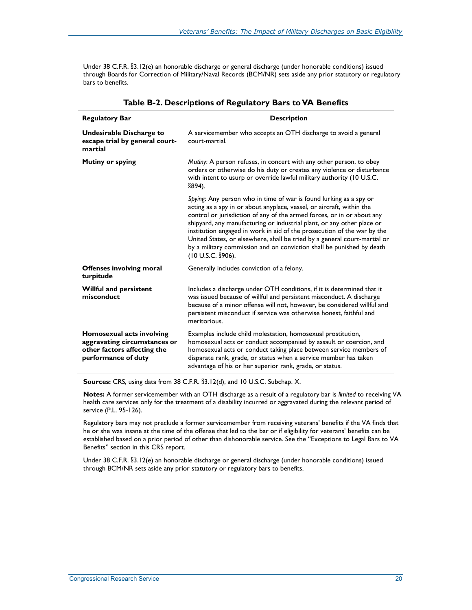Under 38 C.F.R. §3.12(e) an honorable discharge or general discharge (under honorable conditions) issued through Boards for Correction of Military/Naval Records (BCM/NR) sets aside any prior statutory or regulatory bars to benefits.

| <b>Regulatory Bar</b>                                                                                           | <b>Description</b>                                                                                                                                                                                                                                                                                                                                                                                                                                                                                                                                       |  |  |
|-----------------------------------------------------------------------------------------------------------------|----------------------------------------------------------------------------------------------------------------------------------------------------------------------------------------------------------------------------------------------------------------------------------------------------------------------------------------------------------------------------------------------------------------------------------------------------------------------------------------------------------------------------------------------------------|--|--|
| Undesirable Discharge to<br>escape trial by general court-<br>martial                                           | A servicemember who accepts an OTH discharge to avoid a general<br>court-martial.                                                                                                                                                                                                                                                                                                                                                                                                                                                                        |  |  |
| <b>Mutiny or spying</b>                                                                                         | Mutiny: A person refuses, in concert with any other person, to obey<br>orders or otherwise do his duty or creates any violence or disturbance<br>with intent to usurp or override lawful military authority (10 U.S.C.<br>$$894$ ).                                                                                                                                                                                                                                                                                                                      |  |  |
|                                                                                                                 | Spying: Any person who in time of war is found lurking as a spy or<br>acting as a spy in or about anyplace, vessel, or aircraft, within the<br>control or jurisdiction of any of the armed forces, or in or about any<br>shipyard, any manufacturing or industrial plant, or any other place or<br>institution engaged in work in aid of the prosecution of the war by the<br>United States, or elsewhere, shall be tried by a general court-martial or<br>by a military commission and on conviction shall be punished by death<br>$(10 U.S.C.$ \$906). |  |  |
| <b>Offenses involving moral</b><br>turpitude                                                                    | Generally includes conviction of a felony.                                                                                                                                                                                                                                                                                                                                                                                                                                                                                                               |  |  |
| <b>Willful and persistent</b><br>misconduct                                                                     | Includes a discharge under OTH conditions, if it is determined that it<br>was issued because of willful and persistent misconduct. A discharge<br>because of a minor offense will not, however, be considered willful and<br>persistent misconduct if service was otherwise honest, faithful and<br>meritorious.                                                                                                                                                                                                                                         |  |  |
| Homosexual acts involving<br>aggravating circumstances or<br>other factors affecting the<br>performance of duty | Examples include child molestation, homosexual prostitution,<br>homosexual acts or conduct accompanied by assault or coercion, and<br>homosexual acts or conduct taking place between service members of<br>disparate rank, grade, or status when a service member has taken<br>advantage of his or her superior rank, grade, or status.                                                                                                                                                                                                                 |  |  |

#### **Table B-2. Descriptions of Regulatory Bars to VA Benefits**

**Sources:** CRS, using data from 38 C.F.R. §3.12(d), and 10 U.S.C. Subchap. X.

**Notes:** A former servicemember with an OTH discharge as a result of a regulatory bar is *limited* to receiving VA health care services only for the treatment of a disability incurred or aggravated during the relevant period of service (P.L. 95-126).

Regulatory bars may not preclude a former servicemember from receiving veterans' benefits if the VA finds that he or she was insane at the time of the offense that led to the bar or if eligibility for veterans' benefits can be established based on a prior period of other than dishonorable service. See the "Exceptions to Legal Bars to VA Benefits" section in this CRS report.

Under 38 C.F.R. §3.12(e) an honorable discharge or general discharge (under honorable conditions) issued through BCM/NR sets aside any prior statutory or regulatory bars to benefits.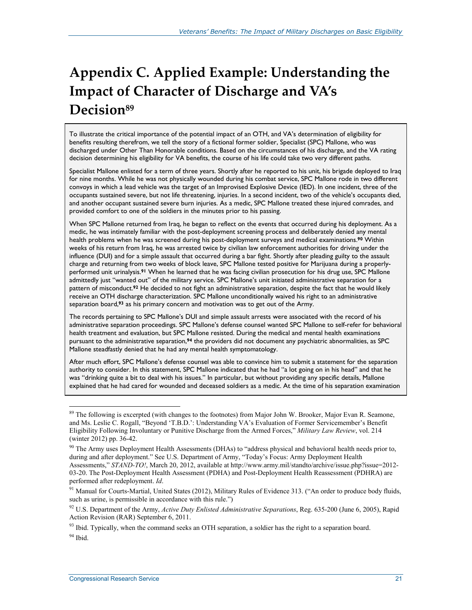## **Appendix C. Applied Example: Understanding the Impact of Character of Discharge and VA's Decision89**

To illustrate the critical importance of the potential impact of an OTH, and VA's determination of eligibility for benefits resulting therefrom, we tell the story of a fictional former soldier, Specialist (SPC) Mallone, who was discharged under Other Than Honorable conditions. Based on the circumstances of his discharge, and the VA rating decision determining his eligibility for VA benefits, the course of his life could take two very different paths.

Specialist Mallone enlisted for a term of three years. Shortly after he reported to his unit, his brigade deployed to Iraq for nine months. While he was not physically wounded during his combat service, SPC Mallone rode in two different convoys in which a lead vehicle was the target of an Improvised Explosive Device (IED). In one incident, three of the occupants sustained severe, but not life threatening, injuries. In a second incident, two of the vehicle's occupants died, and another occupant sustained severe burn injuries. As a medic, SPC Mallone treated these injured comrades, and provided comfort to one of the soldiers in the minutes prior to his passing.

When SPC Mallone returned from Iraq, he began to reflect on the events that occurred during his deployment. As a medic, he was intimately familiar with the post-deployment screening process and deliberately denied any mental health problems when he was screened during his post-deployment surveys and medical examinations.**<sup>90</sup>** Within weeks of his return from Iraq, he was arrested twice by civilian law enforcement authorities for driving under the influence (DUI) and for a simple assault that occurred during a bar fight. Shortly after pleading guilty to the assault charge and returning from two weeks of block leave, SPC Mallone tested positive for Marijuana during a properlyperformed unit urinalysis.**91** When he learned that he was facing civilian prosecution for his drug use, SPC Mallone admittedly just "wanted out" of the military service. SPC Mallone's unit initiated administrative separation for a pattern of misconduct.**92** He decided to not fight an administrative separation, despite the fact that he would likely receive an OTH discharge characterization. SPC Mallone unconditionally waived his right to an administrative separation board,**<sup>93</sup>** as his primary concern and motivation was to get out of the Army.

The records pertaining to SPC Mallone's DUI and simple assault arrests were associated with the record of his administrative separation proceedings. SPC Mallone's defense counsel wanted SPC Mallone to self-refer for behavioral health treatment and evaluation, but SPC Mallone resisted. During the medical and mental health examinations pursuant to the administrative separation,**94** the providers did not document any psychiatric abnormalities, as SPC Mallone steadfastly denied that he had any mental health symptomatology.

After much effort, SPC Mallone's defense counsel was able to convince him to submit a statement for the separation authority to consider. In this statement, SPC Mallone indicated that he had "a lot going on in his head" and that he was "drinking quite a bit to deal with his issues." In particular, but without providing any specific details, Mallone explained that he had cared for wounded and deceased soldiers as a medic. At the time of his separation examination

<sup>&</sup>lt;sup>89</sup> The following is excerpted (with changes to the footnotes) from Major John W. Brooker, Major Evan R. Seamone, and Ms. Leslie C. Rogall, "Beyond 'T.B.D.': Understanding VA's Evaluation of Former Servicemember's Benefit Eligibility Following Involuntary or Punitive Discharge from the Armed Forces," *Military Law Review*, vol. 214 (winter 2012) pp. 36-42.

<sup>&</sup>lt;sup>90</sup> The Army uses Deployment Health Assessments (DHAs) to "address physical and behavioral health needs prior to, during and after deployment." See U.S. Department of Army, "Today's Focus: Army Deployment Health Assessments," *STAND-TO!*, March 20, 2012, available at http://www.army.mil/standto/archive/issue.php?issue=2012- 03-20. The Post-Deployment Health Assessment (PDHA) and Post-Deployment Health Reassessment (PDHRA) are performed after redeployment. *Id*.

<sup>&</sup>lt;sup>91</sup> Manual for Courts-Martial, United States (2012), Military Rules of Evidence 313. ("An order to produce body fluids, such as urine, is permissible in accordance with this rule.")

<sup>92</sup> U.S. Department of the Army, *Active Duty Enlisted Administrative Separations*, Reg. 635-200 (June 6, 2005), Rapid Action Revision (RAR) September 6, 2011.

<sup>&</sup>lt;sup>93</sup> Ibid. Typically, when the command seeks an OTH separation, a soldier has the right to a separation board.  $94$  Ibid.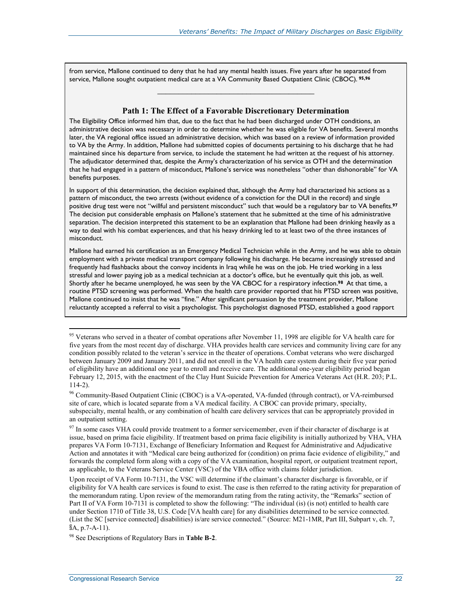from service, Mallone continued to deny that he had any mental health issues. Five years after he separated from service, Mallone sought outpatient medical care at a VA Community Based Outpatient Clinic (CBOC). **95,96**

#### **Path 1: The Effect of a Favorable Discretionary Determination**

**\_\_\_\_\_\_\_\_\_\_\_\_\_\_\_\_\_\_\_\_\_\_\_\_\_\_\_\_\_\_\_\_\_\_\_\_\_** 

The Eligibility Office informed him that, due to the fact that he had been discharged under OTH conditions, an administrative decision was necessary in order to determine whether he was eligible for VA benefits. Several months later, the VA regional office issued an administrative decision, which was based on a review of information provided to VA by the Army. In addition, Mallone had submitted copies of documents pertaining to his discharge that he had maintained since his departure from service, to include the statement he had written at the request of his attorney. The adjudicator determined that, despite the Army's characterization of his service as OTH and the determination that he had engaged in a pattern of misconduct, Mallone's service was nonetheless "other than dishonorable" for VA benefits purposes.

In support of this determination, the decision explained that, although the Army had characterized his actions as a pattern of misconduct, the two arrests (without evidence of a conviction for the DUI in the record) and single positive drug test were not "willful and persistent misconduct" such that would be a regulatory bar to VA benefits.**<sup>97</sup>** The decision put considerable emphasis on Mallone's statement that he submitted at the time of his administrative separation. The decision interpreted this statement to be an explanation that Mallone had been drinking heavily as a way to deal with his combat experiences, and that his heavy drinking led to at least two of the three instances of misconduct.

Mallone had earned his certification as an Emergency Medical Technician while in the Army, and he was able to obtain employment with a private medical transport company following his discharge. He became increasingly stressed and frequently had flashbacks about the convoy incidents in Iraq while he was on the job. He tried working in a less stressful and lower paying job as a medical technician at a doctor's office, but he eventually quit this job, as well. Shortly after he became unemployed, he was seen by the VA CBOC for a respiratory infection.**<sup>98</sup>** At that time, a routine PTSD screening was performed. When the health care provider reported that his PTSD screen was positive, Mallone continued to insist that he was "fine." After significant persuasion by the treatment provider, Mallone reluctantly accepted a referral to visit a psychologist. This psychologist diagnosed PTSD, established a good rapport

<sup>&</sup>lt;sup>95</sup> Veterans who served in a theater of combat operations after November 11, 1998 are eligible for VA health care for five years from the most recent day of discharge. VHA provides health care services and community living care for any condition possibly related to the veteran's service in the theater of operations. Combat veterans who were discharged between January 2009 and January 2011, and did not enroll in the VA health care system during their five year period of eligibility have an additional one year to enroll and receive care. The additional one-year eligibility period began February 12, 2015, with the enactment of the Clay Hunt Suicide Prevention for America Veterans Act (H.R. 203; P.L. 114-2).

<sup>96</sup> Community-Based Outpatient Clinic (CBOC) is a VA-operated, VA-funded (through contract), or VA-reimbursed site of care, which is located separate from a VA medical facility. A CBOC can provide primary, specialty, subspecialty, mental health, or any combination of health care delivery services that can be appropriately provided in an outpatient setting.

<sup>&</sup>lt;sup>97</sup> In some cases VHA could provide treatment to a former servicemember, even if their character of discharge is at issue, based on prima facie eligibility. If treatment based on prima facie eligibility is initially authorized by VHA, VHA prepares VA Form 10-7131, Exchange of Beneficiary Information and Request for Administrative and Adjudicative Action and annotates it with "Medical care being authorized for (condition) on prima facie evidence of eligibility," and forwards the completed form along with a copy of the VA examination, hospital report, or outpatient treatment report, as applicable, to the Veterans Service Center (VSC) of the VBA office with claims folder jurisdiction.

Upon receipt of VA Form 10-7131, the VSC will determine if the claimant's character discharge is favorable, or if eligibility for VA health care services is found to exist. The case is then referred to the rating activity for preparation of the memorandum rating. Upon review of the memorandum rating from the rating activity, the "Remarks" section of Part II of VA Form 10-7131 is completed to show the following: "The individual (is) (is not) entitled to health care under Section 1710 of Title 38, U.S. Code [VA health care] for any disabilities determined to be service connected. (List the SC [service connected] disabilities) is/are service connected." (Source: M21-1MR, Part III, Subpart v, ch. 7, §A, p.7-A-11).

<sup>98</sup> See Descriptions of Regulatory Bars in **Table B-2**.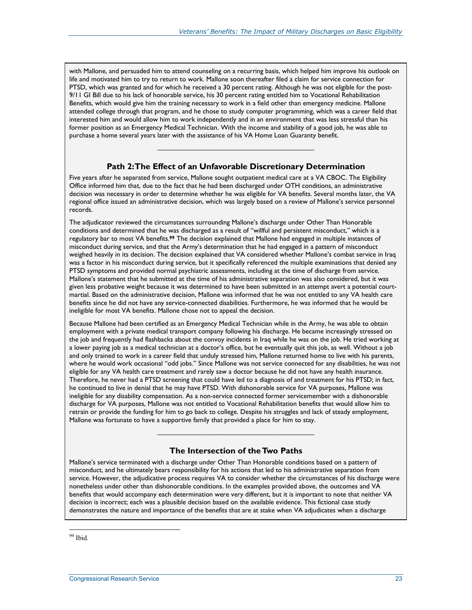with Mallone, and persuaded him to attend counseling on a recurring basis, which helped him improve his outlook on life and motivated him to try to return to work. Mallone soon thereafter filed a claim for service connection for PTSD, which was granted and for which he received a 30 percent rating. Although he was not eligible for the post-9/11 GI Bill due to his lack of honorable service, his 30 percent rating entitled him to Vocational Rehabilitation Benefits, which would give him the training necessary to work in a field other than emergency medicine. Mallone attended college through that program, and he chose to study computer programming, which was a career field that interested him and would allow him to work independently and in an environment that was less stressful than his former position as an Emergency Medical Technician. With the income and stability of a good job, he was able to purchase a home several years later with the assistance of his VA Home Loan Guaranty benefit.

#### **Path 2: The Effect of an Unfavorable Discretionary Determination**

**\_\_\_\_\_\_\_\_\_\_\_\_\_\_\_\_\_\_\_\_\_\_\_\_\_\_\_\_\_\_\_\_\_\_\_\_\_** 

Five years after he separated from service, Mallone sought outpatient medical care at a VA CBOC. The Eligibility Office informed him that, due to the fact that he had been discharged under OTH conditions, an administrative decision was necessary in order to determine whether he was eligible for VA benefits. Several months later, the VA regional office issued an administrative decision, which was largely based on a review of Mallone's service personnel records.

The adjudicator reviewed the circumstances surrounding Mallone's discharge under Other Than Honorable conditions and determined that he was discharged as a result of "willful and persistent misconduct," which is a regulatory bar to most VA benefits.**99** The decision explained that Mallone had engaged in multiple instances of misconduct during service, and that the Army's determination that he had engaged in a pattern of misconduct weighed heavily in its decision. The decision explained that VA considered whether Mallone's combat service in Iraq was a factor in his misconduct during service, but it specifically referenced the multiple examinations that denied any PTSD symptoms and provided normal psychiatric assessments, including at the time of discharge from service. Mallone's statement that he submitted at the time of his administrative separation was also considered, but it was given less probative weight because it was determined to have been submitted in an attempt avert a potential courtmartial. Based on the administrative decision, Mallone was informed that he was not entitled to any VA health care benefits since he did not have any service-connected disabilities. Furthermore, he was informed that he would be ineligible for most VA benefits. Mallone chose not to appeal the decision.

Because Mallone had been certified as an Emergency Medical Technician while in the Army, he was able to obtain employment with a private medical transport company following his discharge. He became increasingly stressed on the job and frequently had flashbacks about the convoy incidents in Iraq while he was on the job. He tried working at a lower paying job as a medical technician at a doctor's office, but he eventually quit this job, as well. Without a job and only trained to work in a career field that unduly stressed him, Mallone returned home to live with his parents, where he would work occasional "odd jobs." Since Mallone was not service connected for any disabilities, he was not eligible for any VA health care treatment and rarely saw a doctor because he did not have any health insurance. Therefore, he never had a PTSD screening that could have led to a diagnosis of and treatment for his PTSD; in fact, he continued to live in denial that he may have PTSD. With dishonorable service for VA purposes, Mallone was ineligible for any disability compensation. As a non-service connected former servicemember with a dishonorable discharge for VA purposes, Mallone was not entitled to Vocational Rehabilitation benefits that would allow him to retrain or provide the funding for him to go back to college. Despite his struggles and lack of steady employment, Mallone was fortunate to have a supportive family that provided a place for him to stay.

#### **The Intersection of the Two Paths**

**\_\_\_\_\_\_\_\_\_\_\_\_\_\_\_\_\_\_\_\_\_\_\_\_\_\_\_\_\_\_\_\_\_\_\_\_\_** 

Mallone's service terminated with a discharge under Other Than Honorable conditions based on a pattern of misconduct, and he ultimately bears responsibility for his actions that led to his administrative separation from service. However, the adjudicative process requires VA to consider whether the circumstances of his discharge were nonetheless under other than dishonorable conditions. In the examples provided above, the outcomes and VA benefits that would accompany each determination were very different, but it is important to note that neither VA decision is incorrect; each was a plausible decision based on the available evidence. This fictional case study demonstrates the nature and importance of the benefits that are at stake when VA adjudicates when a discharge

<u>.</u>

<sup>99</sup> Ibid*.*